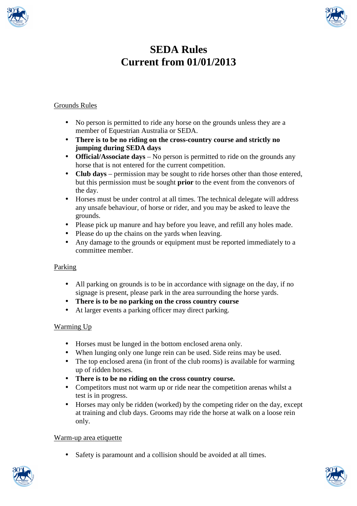



# **SEDA Rules Current from 01/01/2013**

# Grounds Rules

- No person is permitted to ride any horse on the grounds unless they are a member of Equestrian Australia or SEDA.
- **There is to be no riding on the cross-country course and strictly no jumping during SEDA days**
- **Official/Associate days** No person is permitted to ride on the grounds any horse that is not entered for the current competition.
- **Club days** permission may be sought to ride horses other than those entered, but this permission must be sought **prior** to the event from the convenors of the day.
- Horses must be under control at all times. The technical delegate will address any unsafe behaviour, of horse or rider, and you may be asked to leave the grounds.
- Please pick up manure and hay before you leave, and refill any holes made.
- Please do up the chains on the yards when leaving.
- Any damage to the grounds or equipment must be reported immediately to a committee member.

# Parking

- All parking on grounds is to be in accordance with signage on the day, if no signage is present, please park in the area surrounding the horse yards.
- **There is to be no parking on the cross country course**
- At larger events a parking officer may direct parking.

# Warming Up

- Horses must be lunged in the bottom enclosed arena only.
- When lunging only one lunge rein can be used. Side reins may be used.
- The top enclosed arena (in front of the club rooms) is available for warming up of ridden horses.
- **There is to be no riding on the cross country course.**
- Competitors must not warm up or ride near the competition arenas whilst a test is in progress.
- Horses may only be ridden (worked) by the competing rider on the day, except at training and club days. Grooms may ride the horse at walk on a loose rein only.

# Warm-up area etiquette

• Safety is paramount and a collision should be avoided at all times.



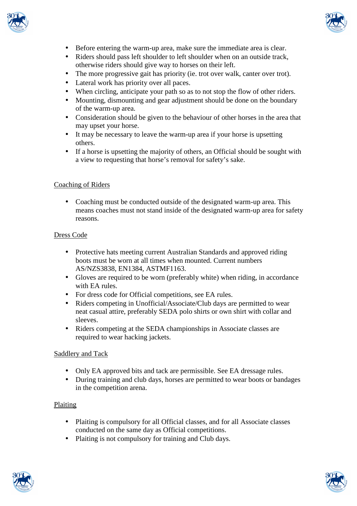



- Before entering the warm-up area, make sure the immediate area is clear.
- Riders should pass left shoulder to left shoulder when on an outside track, otherwise riders should give way to horses on their left.
- The more progressive gait has priority (ie. trot over walk, canter over trot).
- Lateral work has priority over all paces.
- When circling, anticipate your path so as to not stop the flow of other riders.
- Mounting, dismounting and gear adjustment should be done on the boundary of the warm-up area.
- Consideration should be given to the behaviour of other horses in the area that may upset your horse.
- It may be necessary to leave the warm-up area if your horse is upsetting others.
- If a horse is upsetting the majority of others, an Official should be sought with a view to requesting that horse's removal for safety's sake.

## Coaching of Riders

• Coaching must be conducted outside of the designated warm-up area. This means coaches must not stand inside of the designated warm-up area for safety reasons.

#### Dress Code

- Protective hats meeting current Australian Standards and approved riding boots must be worn at all times when mounted. Current numbers AS/NZS3838, EN1384, ASTMF1163.
- Gloves are required to be worn (preferably white) when riding, in accordance with EA rules.
- For dress code for Official competitions, see EA rules.
- Riders competing in Unofficial/Associate/Club days are permitted to wear neat casual attire, preferably SEDA polo shirts or own shirt with collar and sleeves.
- Riders competing at the SEDA championships in Associate classes are required to wear hacking jackets.

#### Saddlery and Tack

- Only EA approved bits and tack are permissible. See EA dressage rules.
- During training and club days, horses are permitted to wear boots or bandages in the competition arena.

## Plaiting

- Plaiting is compulsory for all Official classes, and for all Associate classes conducted on the same day as Official competitions.
- Plaiting is not compulsory for training and Club days.



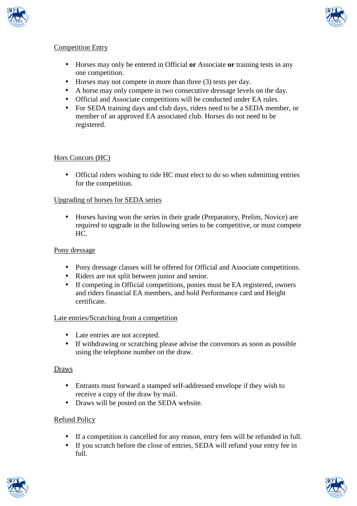



# Competition Entry

- Horses may only be entered in Official **or** Associate **or** training tests in any one competition.
- Horses may not compete in more than three (3) tests per day.
- A horse may only compete in two consecutive dressage levels on the day.
- Official and Associate competitions will be conducted under EA rules.
- For SEDA training days and club days, riders need to be a SEDA member, or member of an approved EA associated club. Horses do not need to be registered.

# Hors Concors (HC)

• Official riders wishing to ride HC must elect to do so when submitting entries for the competition.

## Upgrading of horses for SEDA series

• Horses having won the series in their grade (Preparatory, Prelim, Novice) are required to upgrade in the following series to be competitive, or must compete HC.

#### Pony dressage

- Pony dressage classes will be offered for Official and Associate competitions.
- Riders are not split between junior and senior.
- If competing in Official competitions, ponies must be EA registered, owners and riders financial EA members, and hold Performance card and Height certificate.

#### Late entries/Scratching from a competition

- Late entries are not accepted.
- If withdrawing or scratching please advise the convenors as soon as possible using the telephone number on the draw.

## Draws

- Entrants must forward a stamped self-addressed envelope if they wish to receive a copy of the draw by mail.
- Draws will be posted on the SEDA website.

## Refund Policy

- If a competition is cancelled for any reason, entry fees will be refunded in full.
- If you scratch before the close of entries, SEDA will refund your entry fee in full.



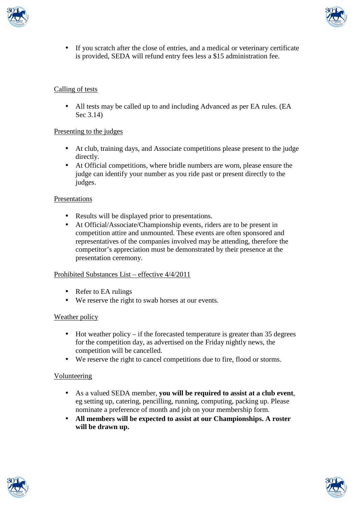



If you scratch after the close of entries, and a medical or veterinary certificate is provided, SEDA will refund entry fees less a \$15 administration fee.

## Calling of tests

• All tests may be called up to and including Advanced as per EA rules. (EA Sec 3.14)

## Presenting to the judges

- At club, training days, and Associate competitions please present to the judge directly.
- At Official competitions, where bridle numbers are worn, please ensure the judge can identify your number as you ride past or present directly to the judges.

# Presentations

- Results will be displayed prior to presentations.
- At Official/Associate/Championship events, riders are to be present in competition attire and unmounted. These events are often sponsored and representatives of the companies involved may be attending, therefore the competitor's appreciation must be demonstrated by their presence at the presentation ceremony.

## Prohibited Substances List – effective 4/4/2011

- Refer to EA rulings
- We reserve the right to swab horses at our events.

## Weather policy

- Hot weather policy if the forecasted temperature is greater than  $35$  degrees for the competition day, as advertised on the Friday nightly news, the competition will be cancelled.
- We reserve the right to cancel competitions due to fire, flood or storms.

## Volunteering

- As a valued SEDA member, **you will be required to assist at a club event**, eg setting up, catering, pencilling, running, computing, packing up. Please nominate a preference of month and job on your membership form.
- **All members will be expected to assist at our Championships. A roster will be drawn up.**